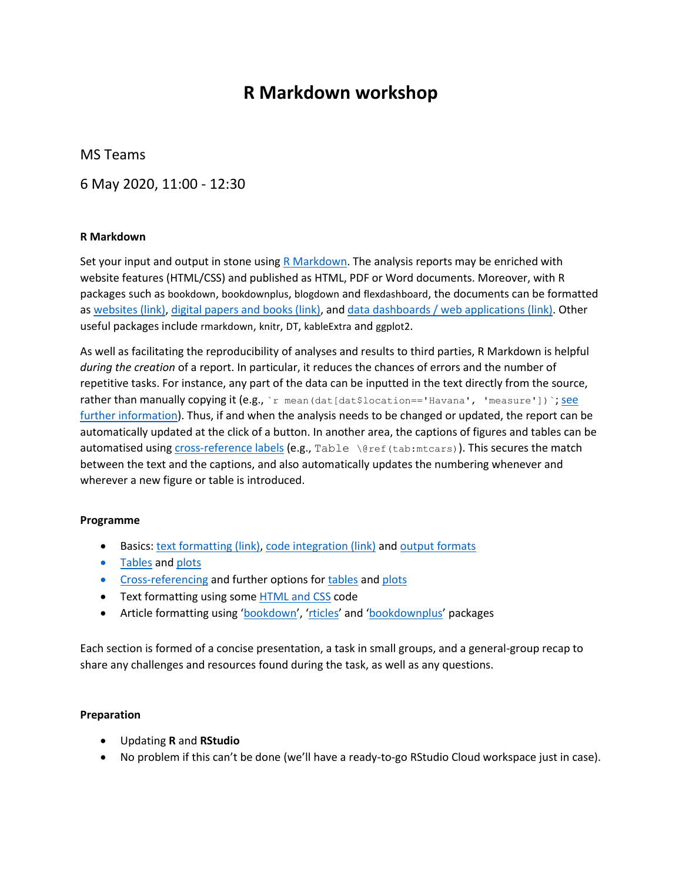# **R Markdown workshop**

MS Teams

6 May 2020, 11:00 - 12:30

## **R Markdown**

Set your input and output in stone using  $R$  Markdown. The analysis reports may be enriched with website features (HTML/CSS) and published as HTML, PDF or Word documents. Moreover, with R packages such as bookdown, bookdownplus, blogdown and flexdashboard, the documents can be formatted as [websites \(link\),](https://awesome-blogdown.com/) [digital papers and books \(link\),](https://bookdown.org/) and [data dashboards / web applications \(link\).](https://rmarkdown.rstudio.com/flexdashboard/) Other useful packages include rmarkdown, knitr, DT, kableExtra and ggplot2.

As well as facilitating the reproducibility of analyses and results to third parties, R Markdown is helpful *during the creation* of a report. In particular, it reduces the chances of errors and the number of repetitive tasks. For instance, any part of the data can be inputted in the text directly from the source, rather than manually copying it (e.g., `r mean (dat [dat\$location=='Havana', 'measure']) `; see [further information\)](https://eur02.safelinks.protection.outlook.com/?url=https%3A%2F%2Fbookdown.org%2Fyihui%2Frmarkdown%2Fr-code.html&data=02%7C01%7Cp.bernabeu%40lancaster.ac.uk%7C67d026136df343e82b1d08d7ec3ce8ed%7C9c9bcd11977a4e9ca9a0bc734090164a%7C0%7C0%7C637237618658947465&sdata=AJQcSNh54N1c98uYuZKYDdHXEcym2K5xT2p41xes95s%3D&reserved=0). Thus, if and when the analysis needs to be changed or updated, the report can be automatically updated at the click of a button. In another area, the captions of figures and tables can be automatised using [cross-reference labels](https://eur02.safelinks.protection.outlook.com/?url=https%3A%2F%2Fbookdown.org%2Fyihui%2Frmarkdown-cookbook%2Fcross-ref.html&data=02%7C01%7Cp.bernabeu%40lancaster.ac.uk%7C67d026136df343e82b1d08d7ec3ce8ed%7C9c9bcd11977a4e9ca9a0bc734090164a%7C0%7C0%7C637237618658947465&sdata=0rfXT1XXnZgUMWNaOG2IWbq0hZ41Aqr3wlirknR5k%2Fc%3D&reserved=0) (e.g., Table \@ref(tab:mtcars)). This secures the match between the text and the captions, and also automatically updates the numbering whenever and wherever a new figure or table is introduced.

#### **Programme**

- Basics[: text formatting \(link\),](https://pandoc.org/MANUAL.html#pandocs-markdown) [code integration \(link\)](https://bookdown.org/yihui/rmarkdown/r-code.html) and [output formats](https://rmarkdown.rstudio.com/lesson-9.html)
- [Tables](https://eur02.safelinks.protection.outlook.com/?url=https%3A%2F%2Fuc-r.github.io%2Ftidyr&data=02%7C01%7Cp.bernabeu%40lancaster.ac.uk%7C67d026136df343e82b1d08d7ec3ce8ed%7C9c9bcd11977a4e9ca9a0bc734090164a%7C0%7C0%7C637237618658967456&sdata=18FaP4ftdsrizWskP%2B1hPJpyarfnfL5I9YMlKh1ODpM%3D&reserved=0) an[d plots](https://eur02.safelinks.protection.outlook.com/?url=https%3A%2F%2Fbookdown.org%2Fyihui%2Fbookdown%2Ffigures.html&data=02%7C01%7Cp.bernabeu%40lancaster.ac.uk%7C67d026136df343e82b1d08d7ec3ce8ed%7C9c9bcd11977a4e9ca9a0bc734090164a%7C0%7C0%7C637237618658967456&sdata=gycDuwxkc9VokWFv4g3ksLVSvLKMEo6eVaNcmEQlCiE%3D&reserved=0)
- [Cross-referencing](https://eur02.safelinks.protection.outlook.com/?url=https%3A%2F%2Fbookdown.org%2Fyihui%2Frmarkdown-cookbook%2Fcross-ref.html&data=02%7C01%7Cp.bernabeu%40lancaster.ac.uk%7C67d026136df343e82b1d08d7ec3ce8ed%7C9c9bcd11977a4e9ca9a0bc734090164a%7C0%7C0%7C637237618658977446&sdata=S6QRKmsh%2BmvBJRPYkC5op5ZP6vnaaw9SHJvhlUd70Kc%3D&reserved=0) and further options fo[r tables](https://eur02.safelinks.protection.outlook.com/?url=https%3A%2F%2Frstudio.github.io%2FDT%2F&data=02%7C01%7Cp.bernabeu%40lancaster.ac.uk%7C67d026136df343e82b1d08d7ec3ce8ed%7C9c9bcd11977a4e9ca9a0bc734090164a%7C0%7C0%7C637237618658977446&sdata=i6SFKPRxXvxPTFVUOVkDTZAV4Es3BYfqqrH6gydE1pQ%3D&reserved=0) an[d plots](https://eur02.safelinks.protection.outlook.com/?url=https%3A%2F%2Fplotly.com%2Fr%2F&data=02%7C01%7Cp.bernabeu%40lancaster.ac.uk%7C67d026136df343e82b1d08d7ec3ce8ed%7C9c9bcd11977a4e9ca9a0bc734090164a%7C0%7C0%7C637237618658987444&sdata=4W%2F9XBodT9eem30F4SWhJ0WOPCmfvKHdxRB5qq8D5C8%3D&reserved=0)
- Text formatting using some [HTML and CSS](https://eur02.safelinks.protection.outlook.com/?url=https%3A%2F%2Fwww.w3schools.com%2Fhtml%2Fhtml_formatting.asp&data=02%7C01%7Cp.bernabeu%40lancaster.ac.uk%7C67d026136df343e82b1d08d7ec3ce8ed%7C9c9bcd11977a4e9ca9a0bc734090164a%7C0%7C0%7C637237618658987444&sdata=jTwq0F7EdRrBEMkpbTyE7PFkKYVE2UL7C8vuypb5cV8%3D&reserved=0) code
- Article formatting using '[bookdown](https://eur02.safelinks.protection.outlook.com/?url=https%3A%2F%2Fbookdown.org%2Fyihui%2Fbookdown%2Ffigures.html&data=02%7C01%7Cp.bernabeu%40lancaster.ac.uk%7C67d026136df343e82b1d08d7ec3ce8ed%7C9c9bcd11977a4e9ca9a0bc734090164a%7C0%7C0%7C637237618658997442&sdata=8GoTJbwD%2FvUnwKqQNDlgfm%2B76Oq%2BnPXRsYO%2BlB5yGrs%3D&reserved=0)', '[rticles](https://eur02.safelinks.protection.outlook.com/?url=https%3A%2F%2Fbookdown.org%2Fyihui%2Frmarkdown%2Fjournals.html&data=02%7C01%7Cp.bernabeu%40lancaster.ac.uk%7C67d026136df343e82b1d08d7ec3ce8ed%7C9c9bcd11977a4e9ca9a0bc734090164a%7C0%7C0%7C637237618658997442&sdata=PTg%2FseUwIDcr%2BAkr5TG%2FWlscu3WY44yXSxzyCbGbdZ8%3D&reserved=0)' and '[bookdownplus](https://eur02.safelinks.protection.outlook.com/?url=https%3A%2F%2Fgithub.com%2Fpzhaonet%2Fbookdownplus&data=02%7C01%7Cp.bernabeu%40lancaster.ac.uk%7C67d026136df343e82b1d08d7ec3ce8ed%7C9c9bcd11977a4e9ca9a0bc734090164a%7C0%7C0%7C637237618659007438&sdata=WMNDZm4XZkMqb4%2BWVG2u2fspi7jpAD%2BbFrttUqUidFo%3D&reserved=0)' packages

Each section is formed of a concise presentation, a task in small groups, and a general-group recap to share any challenges and resources found during the task, as well as any questions.

#### **Preparation**

- Updating **R** and **RStudio**
- No problem if this can't be done (we'll have a ready-to-go RStudio Cloud workspace just in case).